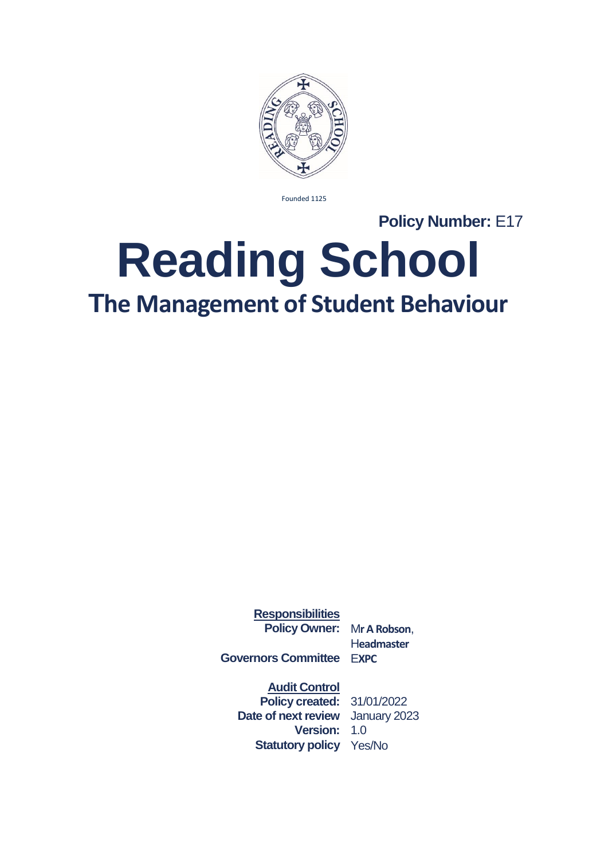

Founded 1125

**Policy Number:** E17

## **Reading School The Management of Student Behaviour**

**Responsibilities Policy Owner:** M**r A Robson**,

H**eadmaster**

**Governors Committee** E**XPC**

**Audit Control**

**Policy created:** 31/01/2022 **Date of next review** January 2023 **Version:** 1.0 **Statutory policy** Yes/No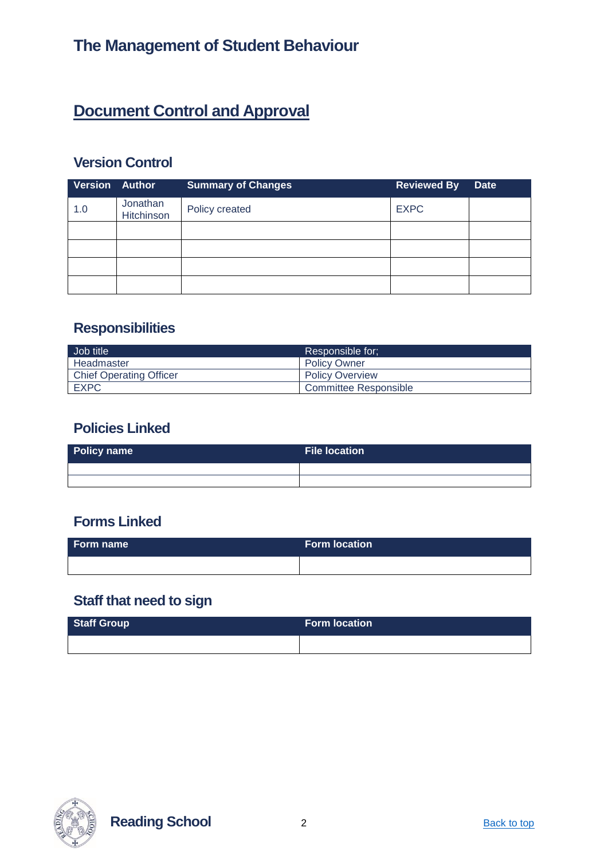## **Document Control and Approval**

#### **Version Control**

| <b>Version Author</b> |                        | <b>Summary of Changes</b> | <b>Reviewed By</b> | <b>Date</b> |
|-----------------------|------------------------|---------------------------|--------------------|-------------|
| 1.0                   | Jonathan<br>Hitchinson | Policy created            | <b>EXPC</b>        |             |
|                       |                        |                           |                    |             |
|                       |                        |                           |                    |             |
|                       |                        |                           |                    |             |
|                       |                        |                           |                    |             |

#### **Responsibilities**

| Job title                      | Responsible for:       |  |
|--------------------------------|------------------------|--|
| Headmaster                     | <b>Policy Owner</b>    |  |
| <b>Chief Operating Officer</b> | <b>Policy Overview</b> |  |
| <b>EXPC</b>                    | Committee Responsible  |  |

#### **Policies Linked**

| Policy name | File location \ |  |  |
|-------------|-----------------|--|--|
|             |                 |  |  |
|             |                 |  |  |

#### **Forms Linked**

| Form name | <b>Form location</b> |
|-----------|----------------------|
|           |                      |

#### **Staff that need to sign**

| <b>Staff Group</b> | <b>Form location</b> |  |
|--------------------|----------------------|--|
|                    |                      |  |



**Reading School** 2 **Back to top**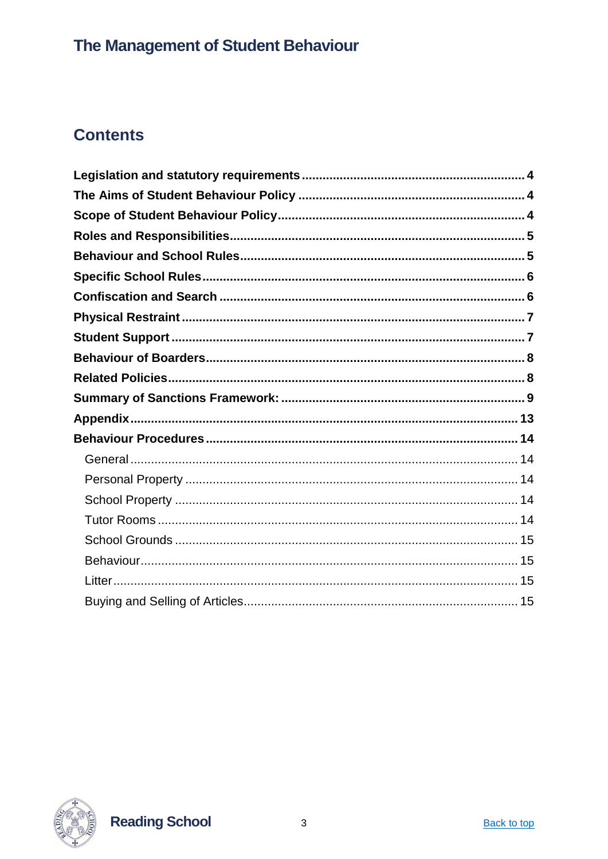## **Contents**



**Reading School**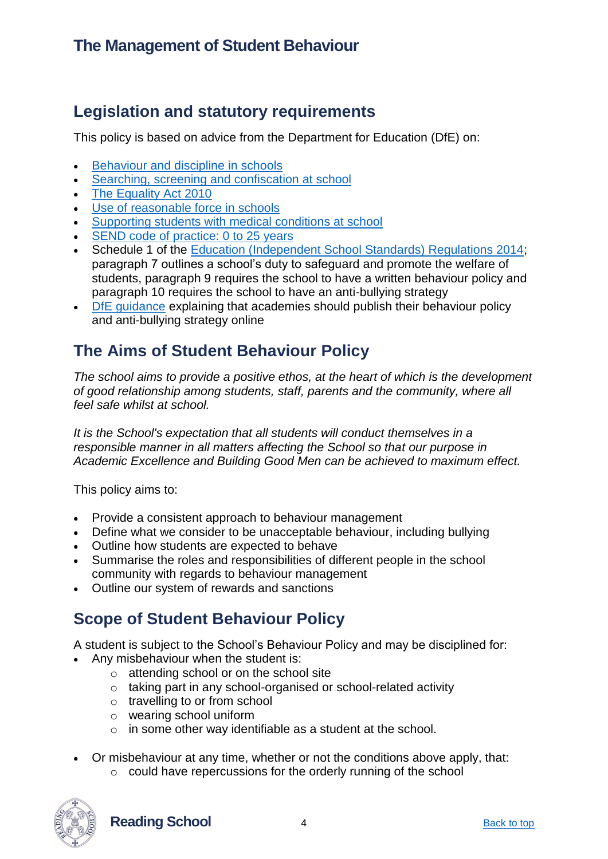#### <span id="page-3-0"></span>**Legislation and statutory requirements**

This policy is based on advice from the Department for Education (DfE) on:

- [Behaviour and discipline in schools](https://www.gov.uk/government/publications/behaviour-and-discipline-in-schools)
- [Searching, screening and confiscation at school](https://www.gov.uk/government/publications/searching-screening-and-confiscation)
- [The Equality Act 2010](https://www.gov.uk/government/publications/equality-act-2010-advice-for-schools)
- [Use of reasonable force in schools](https://www.gov.uk/government/publications/use-of-reasonable-force-in-schools)
- [Supporting students with medical conditions at school](https://www.gov.uk/government/publications/supporting-pupils-at-school-with-medical-conditions--3)
- [SEND code of practice: 0 to 25 years](https://www.gov.uk/government/publications/supporting-pupils-at-school-with-medical-conditions--3)
- Schedule 1 of the [Education \(Independent School Standards\) Regulations 2014;](https://www.legislation.gov.uk/uksi/2014/3283/schedule/made) paragraph 7 outlines a school's duty to safeguard and promote the welfare of students, paragraph 9 requires the school to have a written behaviour policy and paragraph 10 requires the school to have an anti-bullying strategy
- [DfE guidance](https://www.gov.uk/guidance/what-academies-free-schools-and-colleges-should-publish-online) explaining that academies should publish their behaviour policy and anti-bullying strategy online

#### <span id="page-3-1"></span>**The Aims of Student Behaviour Policy**

*The school aims to provide a positive ethos, at the heart of which is the development of good relationship among students, staff, parents and the community, where all feel safe whilst at school.*

*It is the School's expectation that all students will conduct themselves in a responsible manner in all matters affecting the School so that our purpose in Academic Excellence and Building Good Men can be achieved to maximum effect.*

This policy aims to:

- Provide a consistent approach to behaviour management
- Define what we consider to be unacceptable behaviour, including bullying
- Outline how students are expected to behave
- Summarise the roles and responsibilities of different people in the school community with regards to behaviour management
- Outline our system of rewards and sanctions

## <span id="page-3-2"></span>**Scope of Student Behaviour Policy**

A student is subject to the School's Behaviour Policy and may be disciplined for:

- Any misbehaviour when the student is:
	- o attending school or on the school site
	- o taking part in any school-organised or school-related activity
	- o travelling to or from school
	- o wearing school uniform
	- o in some other way identifiable as a student at the school.
- Or misbehaviour at any time, whether or not the conditions above apply, that:
	- o could have repercussions for the orderly running of the school



**Reading School** 4 **Absolute 1 Back to top** Back to top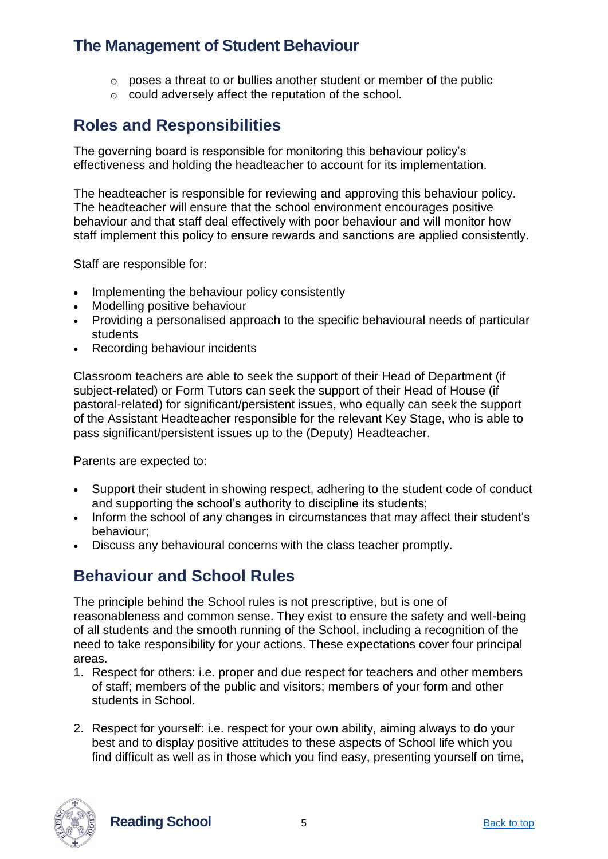- $\circ$  poses a threat to or bullies another student or member of the public
- o could adversely affect the reputation of the school.

#### <span id="page-4-0"></span>**Roles and Responsibilities**

The governing board is responsible for monitoring this behaviour policy's effectiveness and holding the headteacher to account for its implementation.

The headteacher is responsible for reviewing and approving this behaviour policy. The headteacher will ensure that the school environment encourages positive behaviour and that staff deal effectively with poor behaviour and will monitor how staff implement this policy to ensure rewards and sanctions are applied consistently.

Staff are responsible for:

- Implementing the behaviour policy consistently
- Modelling positive behaviour
- Providing a personalised approach to the specific behavioural needs of particular students
- Recording behaviour incidents

Classroom teachers are able to seek the support of their Head of Department (if subject-related) or Form Tutors can seek the support of their Head of House (if pastoral-related) for significant/persistent issues, who equally can seek the support of the Assistant Headteacher responsible for the relevant Key Stage, who is able to pass significant/persistent issues up to the (Deputy) Headteacher.

Parents are expected to:

- Support their student in showing respect, adhering to the student code of conduct and supporting the school's authority to discipline its students;
- Inform the school of any changes in circumstances that may affect their student's behaviour;
- Discuss any behavioural concerns with the class teacher promptly.

#### <span id="page-4-1"></span>**Behaviour and School Rules**

The principle behind the School rules is not prescriptive, but is one of reasonableness and common sense. They exist to ensure the safety and well-being of all students and the smooth running of the School, including a recognition of the need to take responsibility for your actions. These expectations cover four principal areas.

- 1. Respect for others: i.e. proper and due respect for teachers and other members of staff; members of the public and visitors; members of your form and other students in School.
- 2. Respect for yourself: i.e. respect for your own ability, aiming always to do your best and to display positive attitudes to these aspects of School life which you find difficult as well as in those which you find easy, presenting yourself on time,



**Reading School** 5 **Back to top**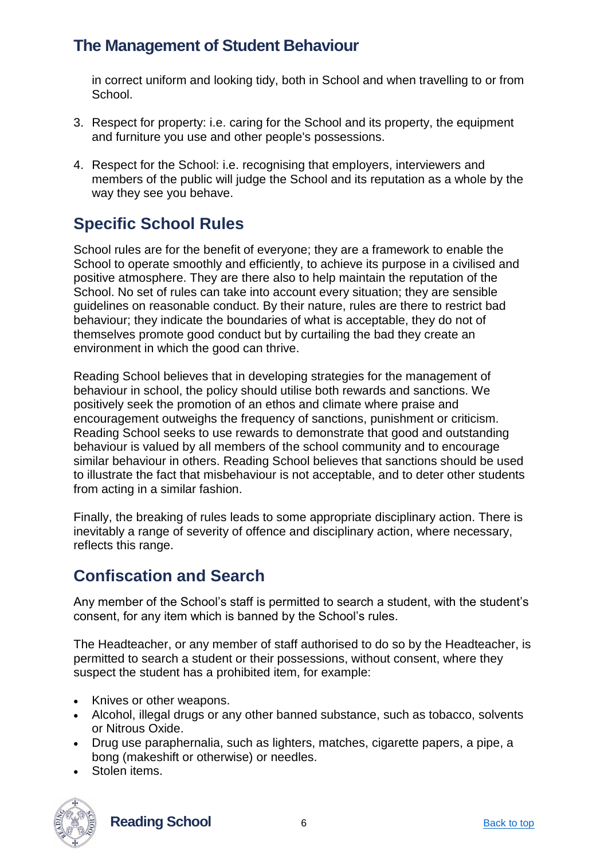in correct uniform and looking tidy, both in School and when travelling to or from School.

- 3. Respect for property: i.e. caring for the School and its property, the equipment and furniture you use and other people's possessions.
- 4. Respect for the School: i.e. recognising that employers, interviewers and members of the public will judge the School and its reputation as a whole by the way they see you behave.

## <span id="page-5-0"></span>**Specific School Rules**

School rules are for the benefit of everyone; they are a framework to enable the School to operate smoothly and efficiently, to achieve its purpose in a civilised and positive atmosphere. They are there also to help maintain the reputation of the School. No set of rules can take into account every situation; they are sensible guidelines on reasonable conduct. By their nature, rules are there to restrict bad behaviour; they indicate the boundaries of what is acceptable, they do not of themselves promote good conduct but by curtailing the bad they create an environment in which the good can thrive.

Reading School believes that in developing strategies for the management of behaviour in school, the policy should utilise both rewards and sanctions. We positively seek the promotion of an ethos and climate where praise and encouragement outweighs the frequency of sanctions, punishment or criticism. Reading School seeks to use rewards to demonstrate that good and outstanding behaviour is valued by all members of the school community and to encourage similar behaviour in others. Reading School believes that sanctions should be used to illustrate the fact that misbehaviour is not acceptable, and to deter other students from acting in a similar fashion.

Finally, the breaking of rules leads to some appropriate disciplinary action. There is inevitably a range of severity of offence and disciplinary action, where necessary, reflects this range.

#### <span id="page-5-1"></span>**Confiscation and Search**

Any member of the School's staff is permitted to search a student, with the student's consent, for any item which is banned by the School's rules.

The Headteacher, or any member of staff authorised to do so by the Headteacher, is permitted to search a student or their possessions, without consent, where they suspect the student has a prohibited item, for example:

- Knives or other weapons.
- Alcohol, illegal drugs or any other banned substance, such as tobacco, solvents or Nitrous Oxide.
- Drug use paraphernalia, such as lighters, matches, cigarette papers, a pipe, a bong (makeshift or otherwise) or needles.
- Stolen items.



**Reading School** 6 **Back to top** Back to top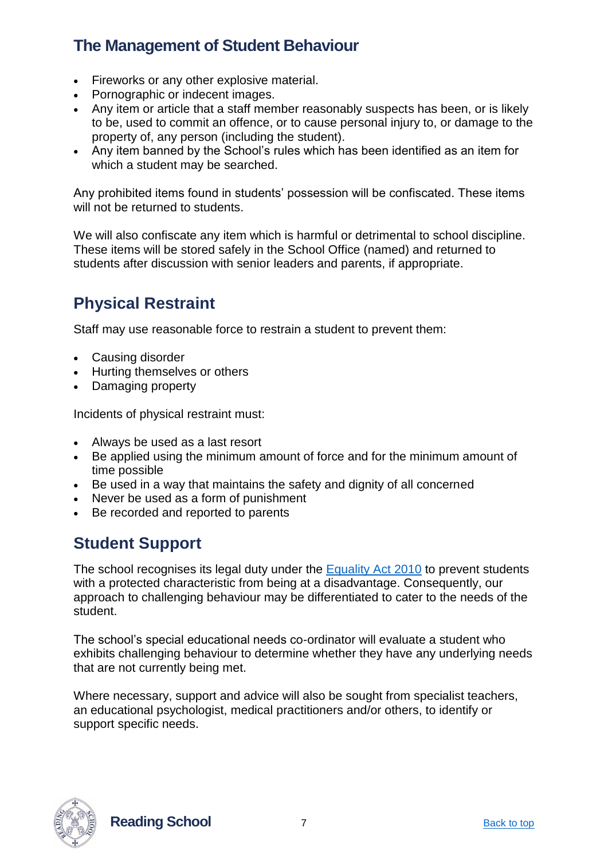- Fireworks or any other explosive material.
- Pornographic or indecent images.
- Any item or article that a staff member reasonably suspects has been, or is likely to be, used to commit an offence, or to cause personal injury to, or damage to the property of, any person (including the student).
- Any item banned by the School's rules which has been identified as an item for which a student may be searched.

Any prohibited items found in students' possession will be confiscated. These items will not be returned to students.

We will also confiscate any item which is harmful or detrimental to school discipline. These items will be stored safely in the School Office (named) and returned to students after discussion with senior leaders and parents, if appropriate.

## <span id="page-6-0"></span>**Physical Restraint**

Staff may use reasonable force to restrain a student to prevent them:

- Causing disorder
- Hurting themselves or others
- Damaging property

Incidents of physical restraint must:

- Always be used as a last resort
- Be applied using the minimum amount of force and for the minimum amount of time possible
- Be used in a way that maintains the safety and dignity of all concerned
- Never be used as a form of punishment
- Be recorded and reported to parents

## <span id="page-6-1"></span>**Student Support**

The school recognises its legal duty under the [Equality Act 2010](https://www.gov.uk/government/publications/equality-act-2010-advice-for-schools) to prevent students with a protected characteristic from being at a disadvantage. Consequently, our approach to challenging behaviour may be differentiated to cater to the needs of the student.

The school's special educational needs co-ordinator will evaluate a student who exhibits challenging behaviour to determine whether they have any underlying needs that are not currently being met.

Where necessary, support and advice will also be sought from specialist teachers, an educational psychologist, medical practitioners and/or others, to identify or support specific needs.



**Reading School** 7 **Back to top**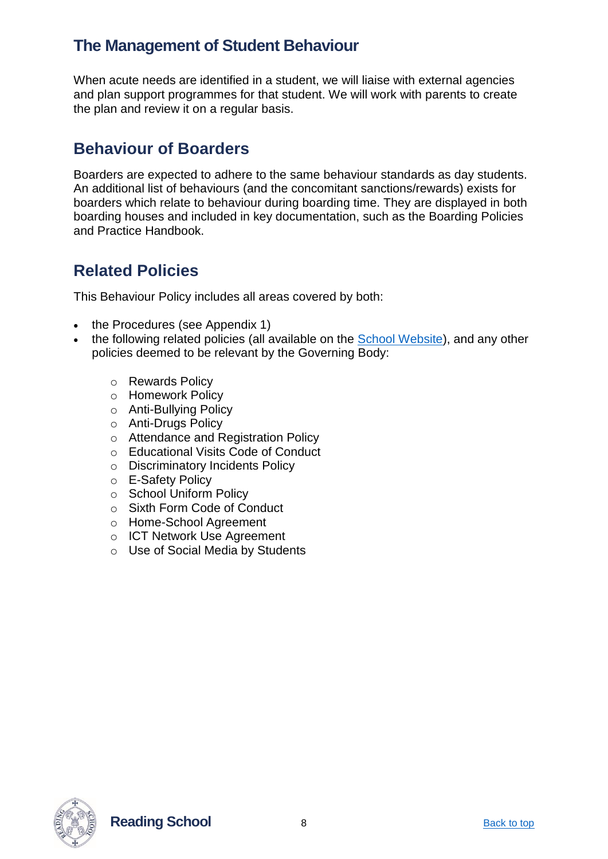When acute needs are identified in a student, we will liaise with external agencies and plan support programmes for that student. We will work with parents to create the plan and review it on a regular basis.

#### <span id="page-7-0"></span>**Behaviour of Boarders**

Boarders are expected to adhere to the same behaviour standards as day students. An additional list of behaviours (and the concomitant sanctions/rewards) exists for boarders which relate to behaviour during boarding time. They are displayed in both boarding houses and included in key documentation, such as the Boarding Policies and Practice Handbook.

## <span id="page-7-1"></span>**Related Policies**

This Behaviour Policy includes all areas covered by both:

- the Procedures (see Appendix 1)
- the following related policies (all available on the [School Website\)](https://www.reading-school.co.uk/page/?title=Policies&pid=16), and any other policies deemed to be relevant by the Governing Body:
	- o Rewards Policy
	- o Homework Policy
	- o Anti-Bullying Policy
	- o Anti-Drugs Policy
	- o Attendance and Registration Policy
	- o Educational Visits Code of Conduct
	- o Discriminatory Incidents Policy
	- o E-Safety Policy
	- o School Uniform Policy
	- o Sixth Form Code of Conduct
	- o Home-School Agreement
	- o ICT Network Use Agreement
	- o Use of Social Media by Students



**Reading School** 8 **Back to top**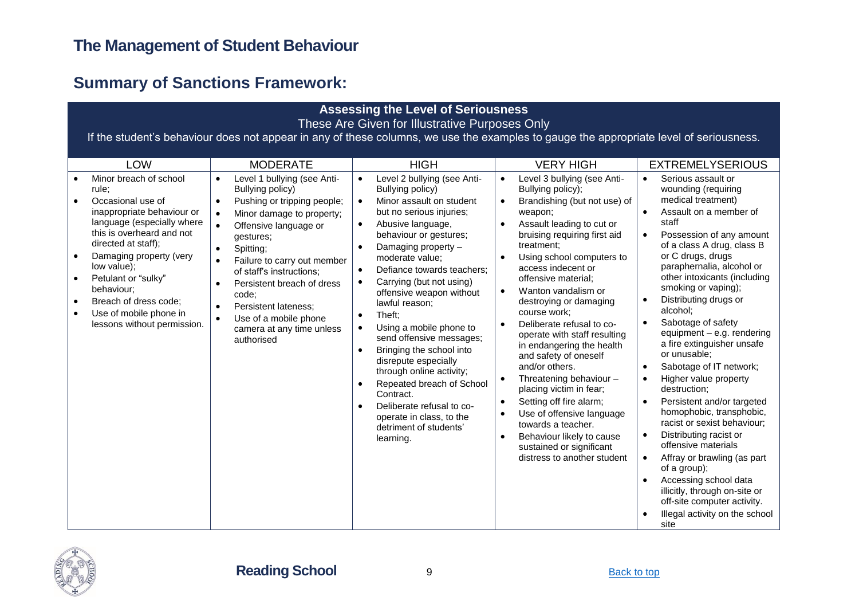## **Summary of Sanctions Framework:**

| <b>Assessing the Level of Seriousness</b>                                                                                                                                                                                                                                                                                                                                    |                                                                                                                                                                                                                                                                                                                                                                                                                                                                      |                                                                                                                                                                                                                                                                                                                                                                                                                                                                                                                                                                                                                                                                                                                                                    |                                                                                                                                                                                                                                                                                                                                                                                                                                                                                                                                                                                                                                                                                                                                                                                                                      |                                                                                                                                                                                                                                                                                                                                                                                                                                                                                                                                                                                                                                                                                                                                                                                                                                                                                                                                                             |  |  |  |  |
|------------------------------------------------------------------------------------------------------------------------------------------------------------------------------------------------------------------------------------------------------------------------------------------------------------------------------------------------------------------------------|----------------------------------------------------------------------------------------------------------------------------------------------------------------------------------------------------------------------------------------------------------------------------------------------------------------------------------------------------------------------------------------------------------------------------------------------------------------------|----------------------------------------------------------------------------------------------------------------------------------------------------------------------------------------------------------------------------------------------------------------------------------------------------------------------------------------------------------------------------------------------------------------------------------------------------------------------------------------------------------------------------------------------------------------------------------------------------------------------------------------------------------------------------------------------------------------------------------------------------|----------------------------------------------------------------------------------------------------------------------------------------------------------------------------------------------------------------------------------------------------------------------------------------------------------------------------------------------------------------------------------------------------------------------------------------------------------------------------------------------------------------------------------------------------------------------------------------------------------------------------------------------------------------------------------------------------------------------------------------------------------------------------------------------------------------------|-------------------------------------------------------------------------------------------------------------------------------------------------------------------------------------------------------------------------------------------------------------------------------------------------------------------------------------------------------------------------------------------------------------------------------------------------------------------------------------------------------------------------------------------------------------------------------------------------------------------------------------------------------------------------------------------------------------------------------------------------------------------------------------------------------------------------------------------------------------------------------------------------------------------------------------------------------------|--|--|--|--|
| These Are Given for Illustrative Purposes Only                                                                                                                                                                                                                                                                                                                               |                                                                                                                                                                                                                                                                                                                                                                                                                                                                      |                                                                                                                                                                                                                                                                                                                                                                                                                                                                                                                                                                                                                                                                                                                                                    |                                                                                                                                                                                                                                                                                                                                                                                                                                                                                                                                                                                                                                                                                                                                                                                                                      |                                                                                                                                                                                                                                                                                                                                                                                                                                                                                                                                                                                                                                                                                                                                                                                                                                                                                                                                                             |  |  |  |  |
| If the student's behaviour does not appear in any of these columns, we use the examples to gauge the appropriate level of seriousness.                                                                                                                                                                                                                                       |                                                                                                                                                                                                                                                                                                                                                                                                                                                                      |                                                                                                                                                                                                                                                                                                                                                                                                                                                                                                                                                                                                                                                                                                                                                    |                                                                                                                                                                                                                                                                                                                                                                                                                                                                                                                                                                                                                                                                                                                                                                                                                      |                                                                                                                                                                                                                                                                                                                                                                                                                                                                                                                                                                                                                                                                                                                                                                                                                                                                                                                                                             |  |  |  |  |
| LOW                                                                                                                                                                                                                                                                                                                                                                          | <b>MODERATE</b>                                                                                                                                                                                                                                                                                                                                                                                                                                                      | <b>HIGH</b>                                                                                                                                                                                                                                                                                                                                                                                                                                                                                                                                                                                                                                                                                                                                        | <b>VERY HIGH</b>                                                                                                                                                                                                                                                                                                                                                                                                                                                                                                                                                                                                                                                                                                                                                                                                     | <b>EXTREMELYSERIOUS</b>                                                                                                                                                                                                                                                                                                                                                                                                                                                                                                                                                                                                                                                                                                                                                                                                                                                                                                                                     |  |  |  |  |
| Minor breach of school<br>rule:<br>Occasional use of<br>$\bullet$<br>inappropriate behaviour or<br>language (especially where<br>this is overheard and not<br>directed at staff);<br>Damaging property (very<br>low value);<br>Petulant or "sulky"<br>behaviour;<br>Breach of dress code:<br>$\bullet$<br>Use of mobile phone in<br>$\bullet$<br>lessons without permission. | Level 1 bullying (see Anti-<br>$\bullet$<br>Bullying policy)<br>Pushing or tripping people;<br>Minor damage to property;<br>$\bullet$<br>Offensive language or<br>$\bullet$<br>gestures;<br>Spitting;<br>$\bullet$<br>Failure to carry out member<br>$\bullet$<br>of staff's instructions;<br>Persistent breach of dress<br>$\bullet$<br>code:<br>Persistent lateness:<br>$\bullet$<br>Use of a mobile phone<br>$\bullet$<br>camera at any time unless<br>authorised | Level 2 bullying (see Anti-<br>$\bullet$<br>Bullying policy)<br>Minor assault on student<br>$\bullet$<br>but no serious injuries;<br>Abusive language,<br>$\bullet$<br>behaviour or gestures;<br>Damaging property -<br>$\bullet$<br>moderate value;<br>Defiance towards teachers:<br>$\bullet$<br>Carrying (but not using)<br>$\bullet$<br>offensive weapon without<br>lawful reason;<br>Theft:<br>$\bullet$<br>Using a mobile phone to<br>$\bullet$<br>send offensive messages;<br>Bringing the school into<br>$\bullet$<br>disrepute especially<br>through online activity;<br>Repeated breach of School<br>$\bullet$<br>Contract.<br>Deliberate refusal to co-<br>$\bullet$<br>operate in class, to the<br>detriment of students'<br>learning. | Level 3 bullying (see Anti-<br>$\bullet$<br>Bullying policy);<br>Brandishing (but not use) of<br>$\bullet$<br>weapon;<br>Assault leading to cut or<br>$\bullet$<br>bruising requiring first aid<br>treatment:<br>Using school computers to<br>$\bullet$<br>access indecent or<br>offensive material;<br>Wanton vandalism or<br>$\bullet$<br>destroying or damaging<br>course work:<br>Deliberate refusal to co-<br>$\bullet$<br>operate with staff resulting<br>in endangering the health<br>and safety of oneself<br>and/or others.<br>Threatening behaviour -<br>$\bullet$<br>placing victim in fear;<br>Setting off fire alarm;<br>$\bullet$<br>Use of offensive language<br>$\bullet$<br>towards a teacher.<br>Behaviour likely to cause<br>$\bullet$<br>sustained or significant<br>distress to another student | $\bullet$<br>Serious assault or<br>wounding (requiring<br>medical treatment)<br>Assault on a member of<br>$\bullet$<br>staff<br>Possession of any amount<br>$\bullet$<br>of a class A drug, class B<br>or C drugs, drugs<br>paraphernalia, alcohol or<br>other intoxicants (including<br>smoking or vaping);<br>Distributing drugs or<br>$\bullet$<br>alcohol:<br>Sabotage of safety<br>$\bullet$<br>equipment - e.g. rendering<br>a fire extinguisher unsafe<br>or unusable:<br>Sabotage of IT network;<br>$\bullet$<br>Higher value property<br>$\bullet$<br>destruction:<br>Persistent and/or targeted<br>$\bullet$<br>homophobic, transphobic,<br>racist or sexist behaviour;<br>Distributing racist or<br>$\bullet$<br>offensive materials<br>Affray or brawling (as part<br>$\bullet$<br>of a group);<br>Accessing school data<br>$\bullet$<br>illicitly, through on-site or<br>off-site computer activity.<br>Illegal activity on the school<br>site |  |  |  |  |

<span id="page-8-0"></span>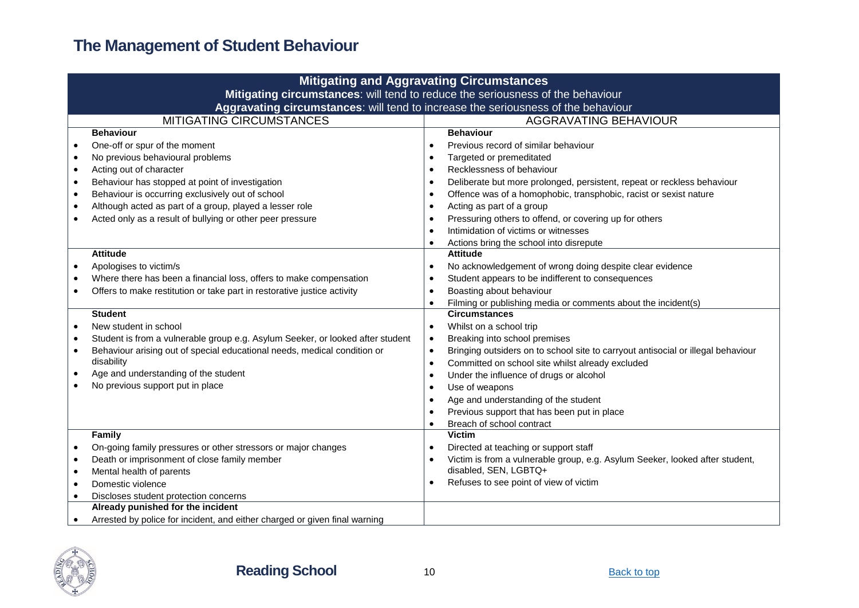|                                                                                | <b>Mitigating and Aggravating Circumstances</b>                                   |           |                                                                                                       |  |  |  |
|--------------------------------------------------------------------------------|-----------------------------------------------------------------------------------|-----------|-------------------------------------------------------------------------------------------------------|--|--|--|
| Mitigating circumstances: will tend to reduce the seriousness of the behaviour |                                                                                   |           |                                                                                                       |  |  |  |
|                                                                                | Aggravating circumstances: will tend to increase the seriousness of the behaviour |           |                                                                                                       |  |  |  |
|                                                                                | <b>MITIGATING CIRCUMSTANCES</b><br>AGGRAVATING BEHAVIOUR                          |           |                                                                                                       |  |  |  |
|                                                                                | <b>Behaviour</b>                                                                  |           | <b>Behaviour</b>                                                                                      |  |  |  |
|                                                                                | One-off or spur of the moment                                                     | $\bullet$ | Previous record of similar behaviour                                                                  |  |  |  |
| $\bullet$                                                                      | No previous behavioural problems                                                  |           | Targeted or premeditated                                                                              |  |  |  |
| $\bullet$                                                                      | Acting out of character                                                           |           | Recklessness of behaviour                                                                             |  |  |  |
| $\bullet$                                                                      | Behaviour has stopped at point of investigation                                   | $\bullet$ | Deliberate but more prolonged, persistent, repeat or reckless behaviour                               |  |  |  |
| $\bullet$                                                                      | Behaviour is occurring exclusively out of school                                  | $\bullet$ | Offence was of a homophobic, transphobic, racist or sexist nature                                     |  |  |  |
| $\bullet$                                                                      | Although acted as part of a group, played a lesser role                           | $\bullet$ | Acting as part of a group                                                                             |  |  |  |
|                                                                                | Acted only as a result of bullying or other peer pressure                         | $\bullet$ | Pressuring others to offend, or covering up for others                                                |  |  |  |
|                                                                                |                                                                                   |           | Intimidation of victims or witnesses                                                                  |  |  |  |
|                                                                                |                                                                                   | $\bullet$ | Actions bring the school into disrepute                                                               |  |  |  |
|                                                                                | <b>Attitude</b>                                                                   |           | <b>Attitude</b>                                                                                       |  |  |  |
|                                                                                | Apologises to victim/s                                                            | $\bullet$ | No acknowledgement of wrong doing despite clear evidence                                              |  |  |  |
|                                                                                | Where there has been a financial loss, offers to make compensation                | ٠         | Student appears to be indifferent to consequences                                                     |  |  |  |
|                                                                                | Offers to make restitution or take part in restorative justice activity           |           | Boasting about behaviour                                                                              |  |  |  |
|                                                                                |                                                                                   | $\bullet$ | Filming or publishing media or comments about the incident(s)                                         |  |  |  |
|                                                                                | <b>Student</b>                                                                    |           | <b>Circumstances</b>                                                                                  |  |  |  |
| $\bullet$                                                                      | New student in school                                                             | $\bullet$ | Whilst on a school trip                                                                               |  |  |  |
| $\bullet$                                                                      | Student is from a vulnerable group e.g. Asylum Seeker, or looked after student    | $\bullet$ | Breaking into school premises                                                                         |  |  |  |
| $\bullet$                                                                      | Behaviour arising out of special educational needs, medical condition or          | $\bullet$ | Bringing outsiders on to school site to carryout antisocial or illegal behaviour                      |  |  |  |
|                                                                                | disability                                                                        |           | Committed on school site whilst already excluded                                                      |  |  |  |
| $\bullet$                                                                      | Age and understanding of the student                                              |           | Under the influence of drugs or alcohol                                                               |  |  |  |
|                                                                                | No previous support put in place                                                  |           | Use of weapons                                                                                        |  |  |  |
|                                                                                |                                                                                   |           | Age and understanding of the student                                                                  |  |  |  |
|                                                                                |                                                                                   |           | Previous support that has been put in place                                                           |  |  |  |
|                                                                                |                                                                                   |           | Breach of school contract                                                                             |  |  |  |
|                                                                                | Family                                                                            |           | <b>Victim</b>                                                                                         |  |  |  |
|                                                                                | On-going family pressures or other stressors or major changes                     | $\bullet$ | Directed at teaching or support staff                                                                 |  |  |  |
| $\bullet$<br>$\bullet$                                                         | Death or imprisonment of close family member<br>Mental health of parents          |           | Victim is from a vulnerable group, e.g. Asylum Seeker, looked after student,<br>disabled, SEN, LGBTQ+ |  |  |  |
| $\bullet$                                                                      | Domestic violence                                                                 |           | Refuses to see point of view of victim                                                                |  |  |  |
|                                                                                |                                                                                   |           |                                                                                                       |  |  |  |
|                                                                                |                                                                                   |           |                                                                                                       |  |  |  |
|                                                                                | Arrested by police for incident, and either charged or given final warning        |           |                                                                                                       |  |  |  |
|                                                                                | Discloses student protection concerns<br>Already punished for the incident        |           |                                                                                                       |  |  |  |
|                                                                                |                                                                                   |           |                                                                                                       |  |  |  |

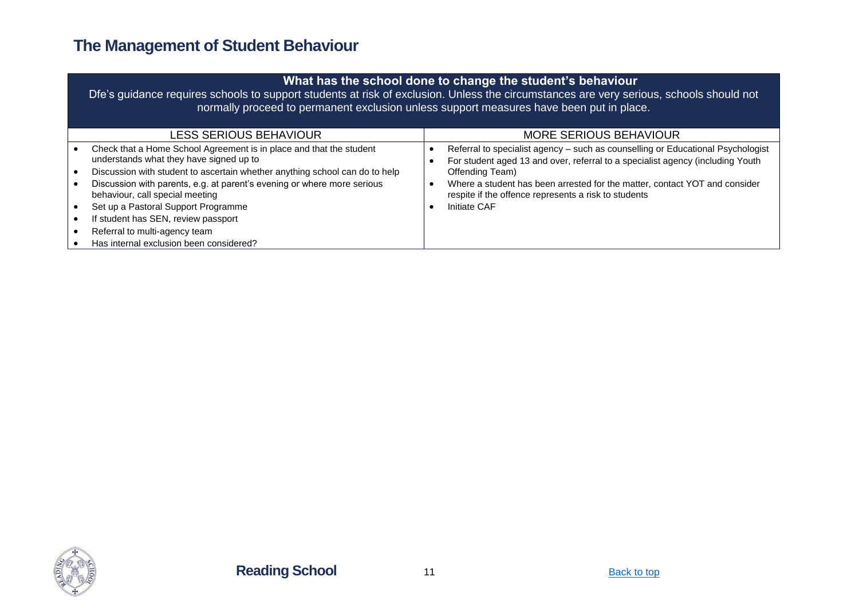| What has the school done to change the student's behaviour<br>Dfe's guidance requires schools to support students at risk of exclusion. Unless the circumstances are very serious, schools should not<br>normally proceed to permanent exclusion unless support measures have been put in place.                                                                                                                                                                      |  |                                                                                                                                                                                                                                                                                                                                            |  |  |
|-----------------------------------------------------------------------------------------------------------------------------------------------------------------------------------------------------------------------------------------------------------------------------------------------------------------------------------------------------------------------------------------------------------------------------------------------------------------------|--|--------------------------------------------------------------------------------------------------------------------------------------------------------------------------------------------------------------------------------------------------------------------------------------------------------------------------------------------|--|--|
| LESS SERIOUS BEHAVIOUR                                                                                                                                                                                                                                                                                                                                                                                                                                                |  | MORE SERIOUS BEHAVIOUR                                                                                                                                                                                                                                                                                                                     |  |  |
| Check that a Home School Agreement is in place and that the student<br>understands what they have signed up to<br>Discussion with student to ascertain whether anything school can do to help<br>Discussion with parents, e.g. at parent's evening or where more serious<br>behaviour, call special meeting<br>Set up a Pastoral Support Programme<br>If student has SEN, review passport<br>Referral to multi-agency team<br>Has internal exclusion been considered? |  | Referral to specialist agency – such as counselling or Educational Psychologist<br>For student aged 13 and over, referral to a specialist agency (including Youth<br>Offending Team)<br>Where a student has been arrested for the matter, contact YOT and consider<br>respite if the offence represents a risk to students<br>Initiate CAF |  |  |

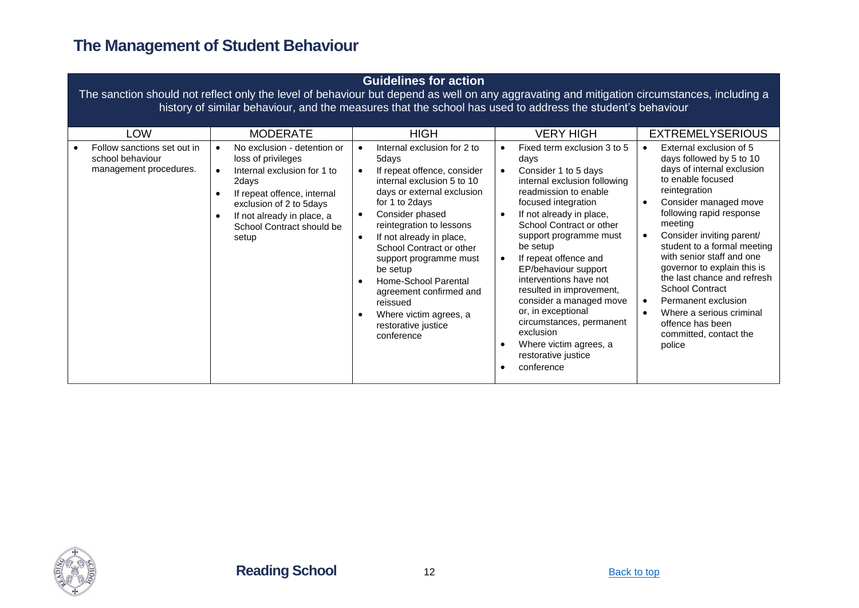| <b>Guidelines for action</b><br>The sanction should not reflect only the level of behaviour but depend as well on any aggravating and mitigation circumstances, including a<br>history of similar behaviour, and the measures that the school has used to address the student's behaviour |                                                                                                                                                                                                                                                         |                                                                                                                                                                                                                                                                                                                                                                                                                                                                       |                                                                                                                                                                                                                                                                                                                                                                                                                                                                                                                               |                                                                                                                                                                                                                                                                                                                                                                                                                                                                                                                                                                    |  |  |  |
|-------------------------------------------------------------------------------------------------------------------------------------------------------------------------------------------------------------------------------------------------------------------------------------------|---------------------------------------------------------------------------------------------------------------------------------------------------------------------------------------------------------------------------------------------------------|-----------------------------------------------------------------------------------------------------------------------------------------------------------------------------------------------------------------------------------------------------------------------------------------------------------------------------------------------------------------------------------------------------------------------------------------------------------------------|-------------------------------------------------------------------------------------------------------------------------------------------------------------------------------------------------------------------------------------------------------------------------------------------------------------------------------------------------------------------------------------------------------------------------------------------------------------------------------------------------------------------------------|--------------------------------------------------------------------------------------------------------------------------------------------------------------------------------------------------------------------------------------------------------------------------------------------------------------------------------------------------------------------------------------------------------------------------------------------------------------------------------------------------------------------------------------------------------------------|--|--|--|
| LOW<br>Follow sanctions set out in<br>school behaviour<br>management procedures.                                                                                                                                                                                                          | <b>MODERATE</b><br>No exclusion - detention or<br>loss of privileges<br>Internal exclusion for 1 to<br>$\bullet$<br>2days<br>If repeat offence, internal<br>exclusion of 2 to 5days<br>If not already in place, a<br>School Contract should be<br>setup | <b>HIGH</b><br>Internal exclusion for 2 to<br>5days<br>If repeat offence, consider<br>$\bullet$<br>internal exclusion 5 to 10<br>days or external exclusion<br>for 1 to 2days<br>Consider phased<br>$\bullet$<br>reintegration to lessons<br>If not already in place,<br>School Contract or other<br>support programme must<br>be setup<br>Home-School Parental<br>agreement confirmed and<br>reissued<br>Where victim agrees, a<br>restorative justice<br>conference | <b>VERY HIGH</b><br>Fixed term exclusion 3 to 5<br>days<br>Consider 1 to 5 days<br>internal exclusion following<br>readmission to enable<br>focused integration<br>If not already in place,<br>School Contract or other<br>support programme must<br>be setup<br>If repeat offence and<br>EP/behaviour support<br>interventions have not<br>resulted in improvement,<br>consider a managed move<br>or, in exceptional<br>circumstances, permanent<br>exclusion<br>Where victim agrees, a<br>restorative justice<br>conference | <b>EXTREMELYSERIOUS</b><br>External exclusion of 5<br>$\bullet$<br>days followed by 5 to 10<br>days of internal exclusion<br>to enable focused<br>reintegration<br>Consider managed move<br>$\bullet$<br>following rapid response<br>meeting<br>Consider inviting parent/<br>$\bullet$<br>student to a formal meeting<br>with senior staff and one<br>governor to explain this is<br>the last chance and refresh<br><b>School Contract</b><br>Permanent exclusion<br>$\bullet$<br>Where a serious criminal<br>offence has been<br>committed, contact the<br>police |  |  |  |

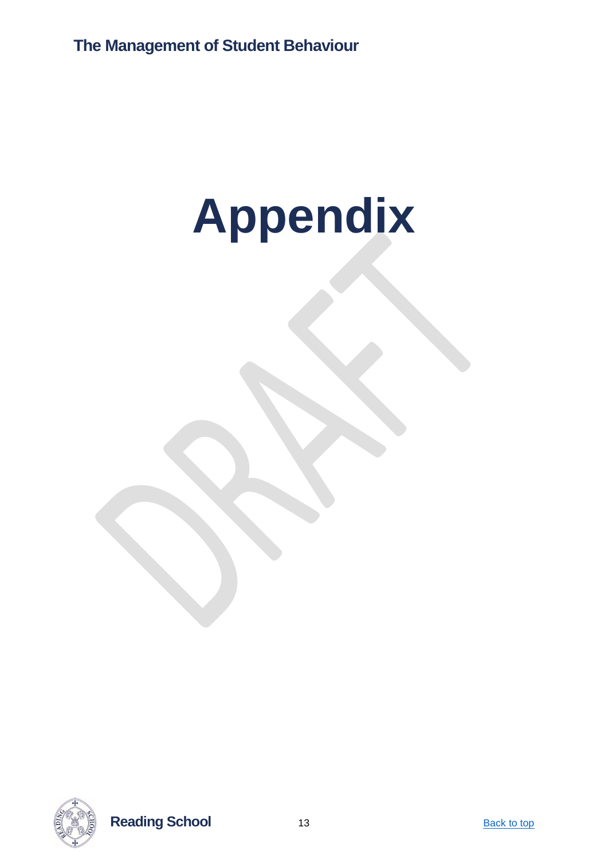# <span id="page-12-0"></span>**Appendix**



**Reading School** 13 **Back to top**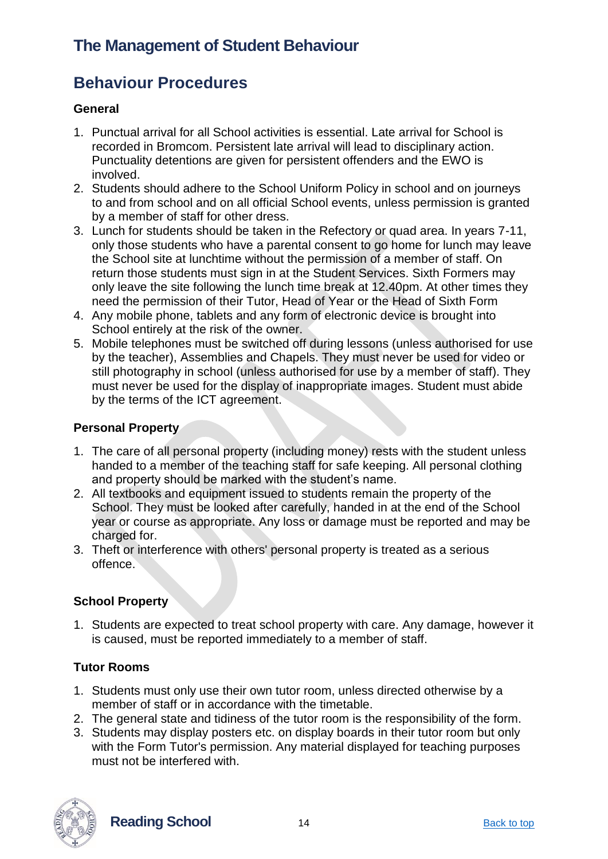#### <span id="page-13-0"></span>**Behaviour Procedures**

#### <span id="page-13-1"></span>**General**

- 1. Punctual arrival for all School activities is essential. Late arrival for School is recorded in Bromcom. Persistent late arrival will lead to disciplinary action. Punctuality detentions are given for persistent offenders and the EWO is involved.
- 2. Students should adhere to the School Uniform Policy in school and on journeys to and from school and on all official School events, unless permission is granted by a member of staff for other dress.
- 3. Lunch for students should be taken in the Refectory or quad area. In years 7-11, only those students who have a parental consent to go home for lunch may leave the School site at lunchtime without the permission of a member of staff. On return those students must sign in at the Student Services. Sixth Formers may only leave the site following the lunch time break at 12.40pm. At other times they need the permission of their Tutor, Head of Year or the Head of Sixth Form
- 4. Any mobile phone, tablets and any form of electronic device is brought into School entirely at the risk of the owner.
- 5. Mobile telephones must be switched off during lessons (unless authorised for use by the teacher), Assemblies and Chapels. They must never be used for video or still photography in school (unless authorised for use by a member of staff). They must never be used for the display of inappropriate images. Student must abide by the terms of the ICT agreement.

#### <span id="page-13-2"></span>**Personal Property**

- 1. The care of all personal property (including money) rests with the student unless handed to a member of the teaching staff for safe keeping. All personal clothing and property should be marked with the student's name.
- 2. All textbooks and equipment issued to students remain the property of the School. They must be looked after carefully, handed in at the end of the School year or course as appropriate. Any loss or damage must be reported and may be charged for.
- 3. Theft or interference with others' personal property is treated as a serious offence.

#### <span id="page-13-3"></span>**School Property**

1. Students are expected to treat school property with care. Any damage, however it is caused, must be reported immediately to a member of staff.

#### <span id="page-13-4"></span>**Tutor Rooms**

- 1. Students must only use their own tutor room, unless directed otherwise by a member of staff or in accordance with the timetable.
- 2. The general state and tidiness of the tutor room is the responsibility of the form.
- 3. Students may display posters etc. on display boards in their tutor room but only with the Form Tutor's permission. Any material displayed for teaching purposes must not be interfered with.



**Reading School** 14 **Back to top**